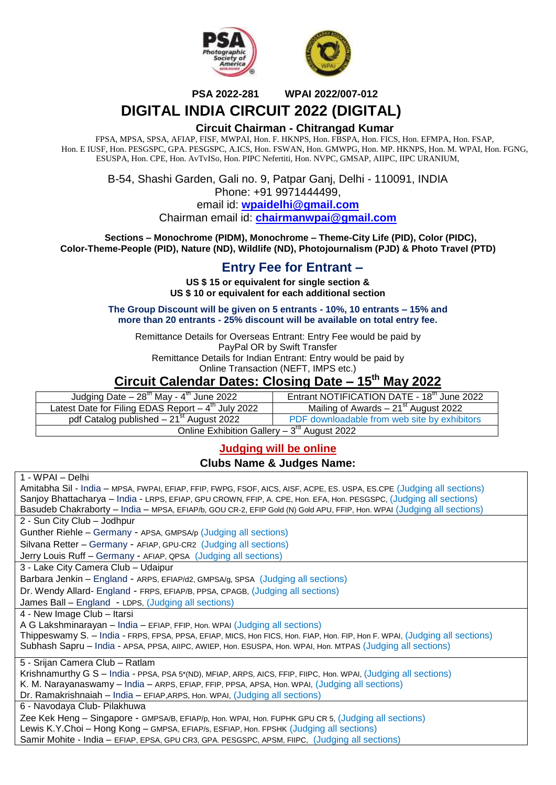



 **PSA 2022-281 WPAI 2022/007-012**

# **DIGITAL INDIA CIRCUIT 2022 (DIGITAL)**

#### **Circuit Chairman - Chitrangad Kumar**

FPSA, MPSA, SPSA, AFIAP, FISF, MWPAI, Hon. F. HKNPS, Hon. FBSPA, Hon. FICS, Hon. EFMPA, Hon. FSAP, Hon. E IUSF, Hon. PESGSPC, GPA. PESGSPC, A.ICS, Hon. FSWAN, Hon. GMWPG, Hon. MP. HKNPS, Hon. M. WPAI, Hon. FGNG, ESUSPA, Hon. CPE, Hon. AvTvISo, Hon. PIPC Nefertiti, Hon. NVPC, GMSAP, AIIPC, IIPC URANIUM,

> B-54, Shashi Garden, Gali no. 9, Patpar Ganj, Delhi - 110091, INDIA Phone: +91 9971444499,

email id: **[wpaidelhi@gmail.com](mailto:wpaidelhi@gmail.com)** Chairman email id: **chairmanwpai@gmail.com**

 **Sections – Monochrome (PIDM), Monochrome – Theme-City Life (PID), Color (PIDC), Color-Theme-People (PID), Nature (ND), Wildlife (ND), Photojournalism (PJD) & Photo Travel (PTD)**

# **Entry Fee for Entrant –**

**US \$ 15 or equivalent for single section & US \$ 10 or equivalent for each additional section**

**The Group Discount will be given on 5 entrants - 10%, 10 entrants – 15% and more than 20 entrants - 25% discount will be available on total entry fee.** 

Remittance Details for Overseas Entrant: Entry Fee would be paid by PayPal OR by Swift Transfer Remittance Details for Indian Entrant: Entry would be paid by

Online Transaction (NEFT, IMPS etc.)

# **Circuit Calendar Dates: Closing Date – 15th May 2022**

| Judging Date $-28^{th}$ May - $4^{th}$ June 2022                  | Entrant NOTIFICATION DATE - 18 <sup>th</sup> June 2022 |  |  |  |
|-------------------------------------------------------------------|--------------------------------------------------------|--|--|--|
| Latest Date for Filing EDAS Report $-\overline{4^{th}}$ July 2022 | Mailing of Awards $-21st$ August 2022                  |  |  |  |
| pdf Catalog published $-21st$ August 2022                         | PDF downloadable from web site by exhibitors           |  |  |  |
| Online Exhibition Gallery $-3^{rd}$ August 2022                   |                                                        |  |  |  |

## **Judging will be online**

#### **Clubs Name & Judges Name:**

| 1 - WPAI – Delhi                                                                                                           |
|----------------------------------------------------------------------------------------------------------------------------|
| Amitabha Sil - India - MPSA, FWPAI, EFIAP, FFIP, FWPG, FSOF, AICS, AISF, ACPE, ES. USPA, ES.CPE (Judging all sections)     |
| Sanjoy Bhattacharya - India - LRPS, EFIAP, GPU CROWN, FFIP, A. CPE, Hon. EFA, Hon. PESGSPC, (Judging all sections)         |
| Basudeb Chakraborty - India - MPSA, EFIAP/b, GOU CR-2, EFIP Gold (N) Gold APU, FFIP, Hon. WPAI (Judging all sections)      |
| 2 - Sun City Club - Jodhpur                                                                                                |
| Gunther Riehle – Germany - APSA, GMPSA/p (Judging all sections)                                                            |
| Silvana Retter - Germany - AFIAP, GPU-CR2 (Judging all sections)                                                           |
| Jerry Louis Ruff - Germany - AFIAP, QPSA (Judging all sections)                                                            |
| 3 - Lake City Camera Club - Udaipur                                                                                        |
| Barbara Jenkin - England - ARPS, EFIAP/d2, GMPSA/g, SPSA (Judging all sections)                                            |
| Dr. Wendy Allard- England - FRPS, EFIAP/B, PPSA, CPAGB, (Judging all sections)                                             |
| James Ball - England - LDPS, (Judging all sections)                                                                        |
| 4 - New Image Club - Itarsi                                                                                                |
| A G Lakshminarayan - India - EFIAP, FFIP, Hon. WPAI (Judging all sections)                                                 |
| Thippeswamy S. - India - FRPS, FPSA, PPSA, EFIAP, MICS, Hon FICS, Hon. FIAP, Hon. FIP, Hon F. WPAI, (Judging all sections) |
| Subhash Sapru - India - APSA, PPSA, AIIPC, AWIEP, Hon. ESUSPA, Hon. WPAI, Hon. MTPAS (Judging all sections)                |
| 5 - Srijan Camera Club - Ratlam                                                                                            |
| Krishnamurthy G S - India - PPSA, PSA 5*(ND), MFIAP, ARPS, AICS, FFIP, FIIPC, Hon. WPAI, (Judging all sections)            |
| K. M. Narayanaswamy - India - ARPS, EFIAP, FFIP, PPSA, APSA, Hon. WPAI, (Judging all sections)                             |
| Dr. Ramakrishnaiah - India - EFIAP, ARPS, Hon. WPAI, (Judging all sections)                                                |
| 6 - Navodaya Club- Pilakhuwa                                                                                               |
| Zee Kek Heng - Singapore - GMPSA/B, EFIAP/p, Hon. WPAI, Hon. FUPHK GPU CR 5, (Judging all sections)                        |
| Lewis K.Y.Choi - Hong Kong - GMPSA, EFIAP/s, ESFIAP, Hon. FPSHK (Judging all sections)                                     |
| Samir Mohite - India - EFIAP, EPSA, GPU CR3, GPA. PESGSPC, APSM, FIIPC, (Judging all sections)                             |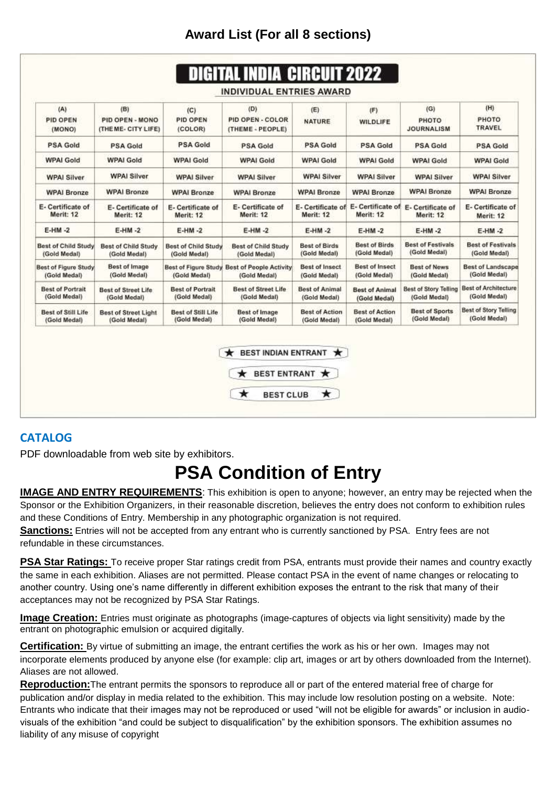# **Award List (For all 8 sections)**

| (A)<br><b>PID OPEN</b><br>(MONO)            | (B)<br>PID OPEN - MONO<br>(THE ME- CITY LIFE) | (C)<br>PID OPEN<br>(COLOR)                  | (D)<br>PID OPEN - COLOR<br>(THEME - PEOPLE)    | (E)<br><b>NATURE</b>                  | (F)<br>WILDLIFE                       | (G)<br>PHOTO<br><b>JOURNALISM</b>            | (H)<br>PHOTO<br>TRAVEL                       |
|---------------------------------------------|-----------------------------------------------|---------------------------------------------|------------------------------------------------|---------------------------------------|---------------------------------------|----------------------------------------------|----------------------------------------------|
| <b>PSA Gold</b>                             | <b>PSA Gold</b>                               | <b>PSA Gold</b>                             | <b>PSA Gold</b>                                | <b>PSA Gold</b>                       | <b>PSA Gold</b>                       | <b>PSA Gold</b>                              | <b>PSA Gold</b>                              |
| <b>WPAI Gold</b>                            | <b>WPAI Gold</b>                              | <b>WPAI Gold</b>                            | <b>WPAI Gold</b>                               | <b>WPAI Gold</b>                      | <b>WPAI Gold</b>                      | <b>WPAI Gold</b>                             | <b>WPAI Gold</b>                             |
| <b>WPAI Silver</b>                          | <b>WPAI Silver</b>                            | <b>WPAI Silver</b>                          | <b>WPAI Silver</b>                             | <b>WPAI Silver</b>                    | <b>WPAI Silver</b>                    | <b>WPAI Silver</b>                           | <b>WPAI Silver</b>                           |
| <b>WPAI Bronze</b>                          | <b>WPAI Bronze</b>                            | <b>WPAI Bronze</b>                          | <b>WPAI Bronze</b>                             | <b>WPAI Bronze</b>                    | <b>WPAI Bronze</b>                    | <b>WPAI Bronze</b>                           | <b>WPAI Bronze</b>                           |
| E- Certificate of<br>Merit: 12              | E- Certificate of<br>Merit: 12                | E- Certificate of<br>Merit: 12              | E- Certificate of<br>Merit: 12                 | E- Certificate of<br>Merit: 12        | E-Certificate of<br>Merit: 12         | E- Certificate of<br>Merit: 12               | E-Certificate of<br>Merit: 12                |
| $E-HM - 2$                                  | $E-HM - 2$                                    | $E-HM - 2$                                  | $E-HM - 2$                                     | $E-HM - 2$                            | $E-HM - 2$                            | $E-HM - 2$                                   | $E-HM - 2$                                   |
| <b>Best of Child Study</b><br>(Gold Medal)  | <b>Best of Child Study</b><br>(Gold Medal)    | <b>Best of Child Study</b><br>(Gold Medal)  | <b>Best of Child Study</b><br>(Gold Medal)     | <b>Best of Birds</b><br>(Gold Medal)  | <b>Best of Birds</b><br>(Gold Medal)  | <b>Best of Festivals</b><br>(Gold Medal)     | <b>Best of Festivals</b><br>(Gold Medal)     |
| <b>Best of Figure Study</b><br>(Gold Medal) | Best of Image<br>(Gold Medal)                 | <b>Best of Figure Study</b><br>(Gold Medal) | <b>Best of People Activity</b><br>(Gold Medal) | <b>Best of Insect</b><br>(Gold Medal) | <b>Best of Insect</b><br>(Gold Medal) | <b>Best of News</b><br>(Gold Medal)          | <b>Best of Landscape</b><br>(Gold Medal)     |
| <b>Best of Portrait</b><br>(Gold Medal)     | <b>Best of Street Life</b><br>(Gold Medal)    | <b>Best of Portrait</b><br>(Gold Medal)     | <b>Best of Street Life</b><br>(Gold Medal)     | <b>Best of Animal</b><br>(Gold Medal) | <b>Best of Animal</b><br>(Gold Medal) | <b>Best of Story Telling</b><br>(Gold Medal) | <b>Best of Architecture</b><br>(Gold Medal)  |
| Best of Still Life<br>(Gold Medal)          | <b>Best of Street Light</b><br>(Gold Medal)   | Best of Still Life<br>(Gold Medal)          | Best of Image<br>(Gold Medal)                  | <b>Best of Action</b><br>(Gold Medal) | <b>Best of Action</b><br>(Gold Medal) | <b>Best of Sports</b><br>(Gold Medal)        | <b>Best of Story Telling</b><br>(Gold Medal) |

# **CATALOG**

PDF downloadable from web site by exhibitors.

# **PSA Condition of Entry**

BEST CLUB \*

**IMAGE AND ENTRY REQUIREMENTS:** This exhibition is open to anyone; however, an entry may be rejected when the Sponsor or the Exhibition Organizers, in their reasonable discretion, believes the entry does not conform to exhibition rules and these Conditions of Entry. Membership in any photographic organization is not required.

**Sanctions:** Entries will not be accepted from any entrant who is currently sanctioned by PSA. Entry fees are not refundable in these circumstances.

 $\star$ 

**PSA Star Ratings:** To receive proper Star ratings credit from PSA, entrants must provide their names and country exactly the same in each exhibition. Aliases are not permitted. Please contact PSA in the event of name changes or relocating to another country. Using one's name differently in different exhibition exposes the entrant to the risk that many of their acceptances may not be recognized by PSA Star Ratings.

**Image Creation:** Entries must originate as photographs (image-captures of objects via light sensitivity) made by the entrant on photographic emulsion or acquired digitally.

**Certification:** By virtue of submitting an image, the entrant certifies the work as his or her own. Images may not incorporate elements produced by anyone else (for example: clip art, images or art by others downloaded from the Internet). Aliases are not allowed.

**Reproduction:**The entrant permits the sponsors to reproduce all or part of the entered material free of charge for publication and/or display in media related to the exhibition. This may include low resolution posting on a website. Note: Entrants who indicate that their images may not be reproduced or used "will not be eligible for awards" or inclusion in audiovisuals of the exhibition "and could be subject to disqualification" by the exhibition sponsors. The exhibition assumes no liability of any misuse of copyright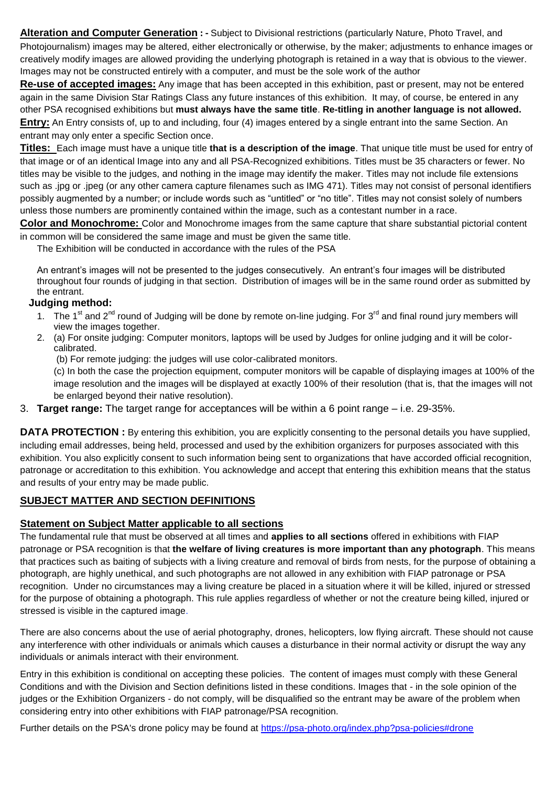**Alteration and Computer Generation : -** Subject to Divisional restrictions (particularly Nature, Photo Travel, and Photojournalism) images may be altered, either electronically or otherwise, by the maker; adjustments to enhance images or creatively modify images are allowed providing the underlying photograph is retained in a way that is obvious to the viewer. Images may not be constructed entirely with a computer, and must be the sole work of the author

**Re-use of accepted images:** Any image that has been accepted in this exhibition, past or present, may not be entered again in the same Division Star Ratings Class any future instances of this exhibition. It may, of course, be entered in any other PSA recognised exhibitions but **must always have the same title**. **Re-titling in another language is not allowed. Entry:** An Entry consists of, up to and including, four (4) images entered by a single entrant into the same Section. An entrant may only enter a specific Section once.

**Titles:** Each image must have a unique title **that is a description of the image**. That unique title must be used for entry of that image or of an identical Image into any and all PSA-Recognized exhibitions. Titles must be 35 characters or fewer. No titles may be visible to the judges, and nothing in the image may identify the maker. Titles may not include file extensions such as .jpg or .jpeg (or any other camera capture filenames such as IMG 471). Titles may not consist of personal identifiers possibly augmented by a number; or include words such as "untitled" or "no title". Titles may not consist solely of numbers unless those numbers are prominently contained within the image, such as a contestant number in a race.

**Color and Monochrome:** Color and Monochrome images from the same capture that share substantial pictorial content in common will be considered the same image and must be given the same title.

The Exhibition will be conducted in accordance with the rules of the PSA

An entrant's images will not be presented to the judges consecutively. An entrant's four images will be distributed throughout four rounds of judging in that section. Distribution of images will be in the same round order as submitted by the entrant.

### **Judging method:**

- 1. The 1<sup>st</sup> and 2<sup>nd</sup> round of Judging will be done by remote on-line judging. For 3<sup>rd</sup> and final round jury members will view the images together.
- 2. (a) For onsite judging: Computer monitors, laptops will be used by Judges for online judging and it will be colorcalibrated.
	- (b) For remote judging: the judges will use color-calibrated monitors.

(c) In both the case the projection equipment, computer monitors will be capable of displaying images at 100% of the image resolution and the images will be displayed at exactly 100% of their resolution (that is, that the images will not be enlarged beyond their native resolution).

3. **Target range:** The target range for acceptances will be within a 6 point range – i.e. 29-35%.

**DATA PROTECTION :** By entering this exhibition, you are explicitly consenting to the personal details you have supplied, including email addresses, being held, processed and used by the exhibition organizers for purposes associated with this exhibition. You also explicitly consent to such information being sent to organizations that have accorded official recognition, patronage or accreditation to this exhibition. You acknowledge and accept that entering this exhibition means that the status and results of your entry may be made public.

## **SUBJECT MATTER AND SECTION DEFINITIONS**

#### **Statement on Subject Matter applicable to all sections**

The fundamental rule that must be observed at all times and **applies to all sections** offered in exhibitions with FIAP patronage or PSA recognition is that **the welfare of living creatures is more important than any photograph**. This means that practices such as baiting of subjects with a living creature and removal of birds from nests, for the purpose of obtaining a photograph, are highly unethical, and such photographs are not allowed in any exhibition with FIAP patronage or PSA recognition. Under no circumstances may a living creature be placed in a situation where it will be killed, injured or stressed for the purpose of obtaining a photograph. This rule applies regardless of whether or not the creature being killed, injured or stressed is visible in the captured image.

There are also concerns about the use of aerial photography, drones, helicopters, low flying aircraft. These should not cause any interference with other individuals or animals which causes a disturbance in their normal activity or disrupt the way any individuals or animals interact with their environment.

Entry in this exhibition is conditional on accepting these policies. The content of images must comply with these General Conditions and with the Division and Section definitions listed in these conditions. Images that - in the sole opinion of the judges or the Exhibition Organizers - do not comply, will be disqualified so the entrant may be aware of the problem when considering entry into other exhibitions with FIAP patronage/PSA recognition.

Further details on the PSA's drone policy may be found at [https://psa-photo.org/index.php?psa-policies#drone](https://psa-photo.org/index.php?psa-policies%23drone)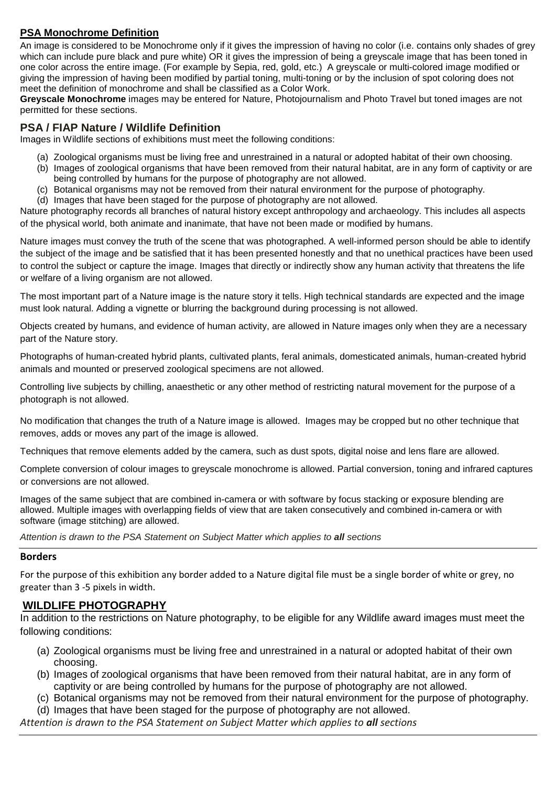# **PSA Monochrome Definition**

An image is considered to be Monochrome only if it gives the impression of having no color (i.e. contains only shades of grey which can include pure black and pure white) OR it gives the impression of being a greyscale image that has been toned in one color across the entire image. (For example by Sepia, red, gold, etc.) A greyscale or multi-colored image modified or giving the impression of having been modified by partial toning, multi-toning or by the inclusion of spot coloring does not meet the definition of monochrome and shall be classified as a Color Work.

**Greyscale Monochrome** images may be entered for Nature, Photojournalism and Photo Travel but toned images are not permitted for these sections.

## **PSA / FIAP Nature / Wildlife Definition**

Images in Wildlife sections of exhibitions must meet the following conditions:

- (a) Zoological organisms must be living free and unrestrained in a natural or adopted habitat of their own choosing.
- (b) Images of zoological organisms that have been removed from their natural habitat, are in any form of captivity or are being controlled by humans for the purpose of photography are not allowed.
- (c) Botanical organisms may not be removed from their natural environment for the purpose of photography.
- (d) Images that have been staged for the purpose of photography are not allowed.

Nature photography records all branches of natural history except anthropology and archaeology. This includes all aspects of the physical world, both animate and inanimate, that have not been made or modified by humans.

Nature images must convey the truth of the scene that was photographed. A well-informed person should be able to identify the subject of the image and be satisfied that it has been presented honestly and that no unethical practices have been used to control the subject or capture the image. Images that directly or indirectly show any human activity that threatens the life or welfare of a living organism are not allowed.

The most important part of a Nature image is the nature story it tells. High technical standards are expected and the image must look natural. Adding a vignette or blurring the background during processing is not allowed.

Objects created by humans, and evidence of human activity, are allowed in Nature images only when they are a necessary part of the Nature story.

Photographs of human-created hybrid plants, cultivated plants, feral animals, domesticated animals, human-created hybrid animals and mounted or preserved zoological specimens are not allowed.

Controlling live subjects by chilling, anaesthetic or any other method of restricting natural movement for the purpose of a photograph is not allowed.

No modification that changes the truth of a Nature image is allowed. Images may be cropped but no other technique that removes, adds or moves any part of the image is allowed.

Techniques that remove elements added by the camera, such as dust spots, digital noise and lens flare are allowed.

Complete conversion of colour images to greyscale monochrome is allowed. Partial conversion, toning and infrared captures or conversions are not allowed.

Images of the same subject that are combined in-camera or with software by focus stacking or exposure blending are allowed. Multiple images with overlapping fields of view that are taken consecutively and combined in-camera or with software (image stitching) are allowed.

*Attention is drawn to the PSA Statement on Subject Matter which applies to all sections*

#### **Borders**

For the purpose of this exhibition any border added to a Nature digital file must be a single border of white or grey, no greater than 3 -5 pixels in width.

## **WILDLIFE PHOTOGRAPHY**

In addition to the restrictions on Nature photography, to be eligible for any Wildlife award images must meet the following conditions:

- (a) Zoological organisms must be living free and unrestrained in a natural or adopted habitat of their own choosing.
- (b) Images of zoological organisms that have been removed from their natural habitat, are in any form of captivity or are being controlled by humans for the purpose of photography are not allowed.
- (c) Botanical organisms may not be removed from their natural environment for the purpose of photography.
- (d) Images that have been staged for the purpose of photography are not allowed.

*Attention is drawn to the PSA Statement on Subject Matter which applies to all sections*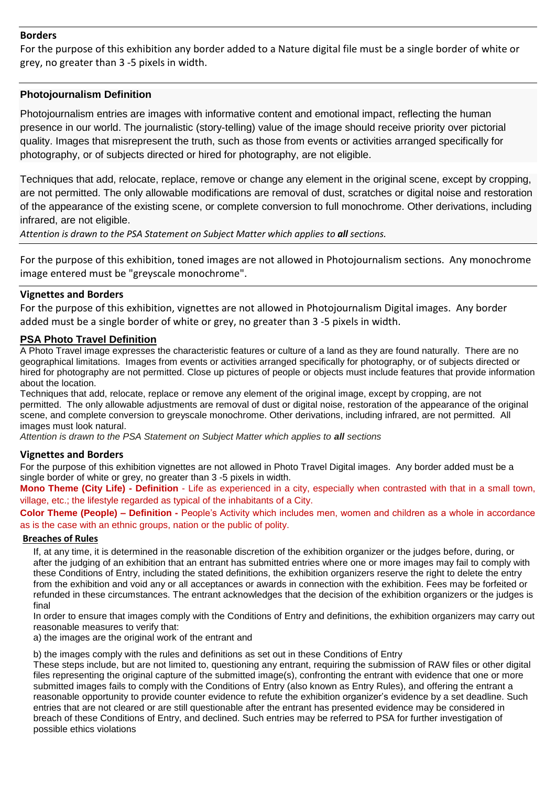#### **Borders**

For the purpose of this exhibition any border added to a Nature digital file must be a single border of white or grey, no greater than 3 -5 pixels in width.

#### **Photojournalism Definition**

Photojournalism entries are images with informative content and emotional impact, reflecting the human presence in our world. The journalistic (story-telling) value of the image should receive priority over pictorial quality. Images that misrepresent the truth, such as those from events or activities arranged specifically for photography, or of subjects directed or hired for photography, are not eligible.

Techniques that add, relocate, replace, remove or change any element in the original scene, except by cropping, are not permitted. The only allowable modifications are removal of dust, scratches or digital noise and restoration of the appearance of the existing scene, or complete conversion to full monochrome. Other derivations, including infrared, are not eligible.

*Attention is drawn to the PSA Statement on Subject Matter which applies to all sections.*

For the purpose of this exhibition, toned images are not allowed in Photojournalism sections. Any monochrome image entered must be "greyscale monochrome".

#### **Vignettes and Borders**

For the purpose of this exhibition, vignettes are not allowed in Photojournalism Digital images. Any border added must be a single border of white or grey, no greater than 3 -5 pixels in width.

#### **PSA Photo Travel Definition**

A Photo Travel image expresses the characteristic features or culture of a land as they are found naturally. There are no geographical limitations. Images from events or activities arranged specifically for photography, or of subjects directed or hired for photography are not permitted. Close up pictures of people or objects must include features that provide information about the location.

Techniques that add, relocate, replace or remove any element of the original image, except by cropping, are not permitted. The only allowable adjustments are removal of dust or digital noise, restoration of the appearance of the original scene, and complete conversion to greyscale monochrome. Other derivations, including infrared, are not permitted. All images must look natural.

*Attention is drawn to the PSA Statement on Subject Matter which applies to all sections*

#### **Vignettes and Borders**

For the purpose of this exhibition vignettes are not allowed in Photo Travel Digital images. Any border added must be a single border of white or grey, no greater than 3 -5 pixels in width.

**Mono Theme (City Life) - Definition** - Life as experienced in a city, especially when contrasted with that in a small town, village, etc.; the lifestyle regarded as typical of the inhabitants of a City.

**Color Theme (People) – Definition -** People's Activity which includes men, women and children as a whole in accordance as is the case with an ethnic groups, nation or the public of polity.

#### **Breaches of Rules**

If, at any time, it is determined in the reasonable discretion of the exhibition organizer or the judges before, during, or after the judging of an exhibition that an entrant has submitted entries where one or more images may fail to comply with these Conditions of Entry, including the stated definitions, the exhibition organizers reserve the right to delete the entry from the exhibition and void any or all acceptances or awards in connection with the exhibition. Fees may be forfeited or refunded in these circumstances. The entrant acknowledges that the decision of the exhibition organizers or the judges is final

In order to ensure that images comply with the Conditions of Entry and definitions, the exhibition organizers may carry out reasonable measures to verify that:

a) the images are the original work of the entrant and

b) the images comply with the rules and definitions as set out in these Conditions of Entry

These steps include, but are not limited to, questioning any entrant, requiring the submission of RAW files or other digital files representing the original capture of the submitted image(s), confronting the entrant with evidence that one or more submitted images fails to comply with the Conditions of Entry (also known as Entry Rules), and offering the entrant a reasonable opportunity to provide counter evidence to refute the exhibition organizer's evidence by a set deadline. Such entries that are not cleared or are still questionable after the entrant has presented evidence may be considered in breach of these Conditions of Entry, and declined. Such entries may be referred to PSA for further investigation of possible ethics violations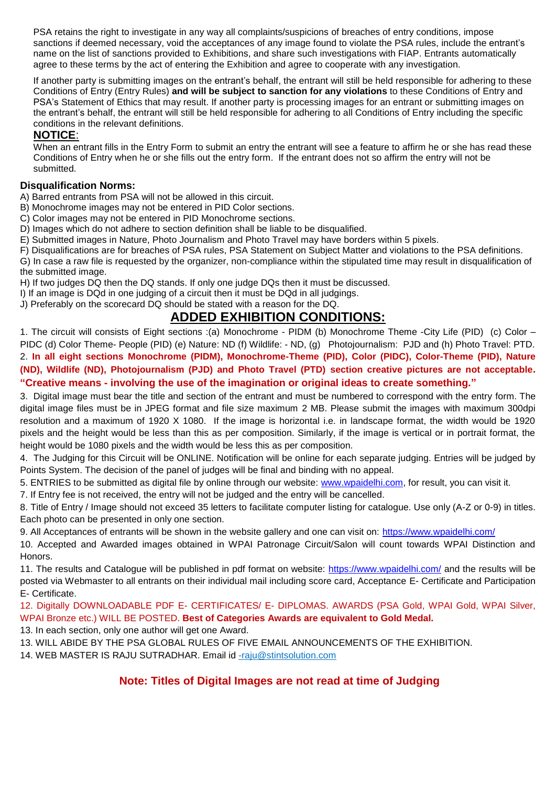PSA retains the right to investigate in any way all complaints/suspicions of breaches of entry conditions, impose sanctions if deemed necessary, void the acceptances of any image found to violate the PSA rules, include the entrant's name on the list of sanctions provided to Exhibitions, and share such investigations with FIAP. Entrants automatically agree to these terms by the act of entering the Exhibition and agree to cooperate with any investigation.

If another party is submitting images on the entrant's behalf, the entrant will still be held responsible for adhering to these Conditions of Entry (Entry Rules) **and will be subject to sanction for any violations** to these Conditions of Entry and PSA's Statement of Ethics that may result. If another party is processing images for an entrant or submitting images on the entrant's behalf, the entrant will still be held responsible for adhering to all Conditions of Entry including the specific conditions in the relevant definitions.

# **NOTICE**:

When an entrant fills in the Entry Form to submit an entry the entrant will see a feature to affirm he or she has read these Conditions of Entry when he or she fills out the entry form. If the entrant does not so affirm the entry will not be submitted.

## **Disqualification Norms:**

A) Barred entrants from PSA will not be allowed in this circuit.

B) Monochrome images may not be entered in PID Color sections.

C) Color images may not be entered in PID Monochrome sections.

D) Images which do not adhere to section definition shall be liable to be disqualified.

E) Submitted images in Nature, Photo Journalism and Photo Travel may have borders within 5 pixels.

F) Disqualifications are for breaches of PSA rules, PSA Statement on Subject Matter and violations to the PSA definitions. G) In case a raw file is requested by the organizer, non-compliance within the stipulated time may result in disqualification of the submitted image.

H) If two judges DQ then the DQ stands. If only one judge DQs then it must be discussed.

I) If an image is DQd in one judging of a circuit then it must be DQd in all judgings.

J) Preferably on the scorecard DQ should be stated with a reason for the DQ.

# **ADDED EXHIBITION CONDITIONS:**

1. The circuit will consists of Eight sections :(a) Monochrome - PIDM (b) Monochrome Theme -City Life (PID) (c) Color – PIDC (d) Color Theme- People (PID) (e) Nature: ND (f) Wildlife: - ND, (g) Photojournalism: PJD and (h) Photo Travel: PTD. 2. **In all eight sections Monochrome (PIDM), Monochrome-Theme (PID), Color (PIDC), Color-Theme (PID), Nature (ND), Wildlife (ND), Photojournalism (PJD) and Photo Travel (PTD) section creative pictures are not acceptable. "Creative means - involving the use of the imagination or original ideas to create something."**

3. Digital image must bear the title and section of the entrant and must be numbered to correspond with the entry form. The digital image files must be in JPEG format and file size maximum 2 MB. Please submit the images with maximum 300dpi resolution and a maximum of 1920 X 1080. If the image is horizontal i.e. in landscape format, the width would be 1920 pixels and the height would be less than this as per composition. Similarly, if the image is vertical or in portrait format, the height would be 1080 pixels and the width would be less this as per composition.

4. The Judging for this Circuit will be ONLINE. Notification will be online for each separate judging. Entries will be judged by Points System. The decision of the panel of judges will be final and binding with no appeal.

5. ENTRIES to be submitted as digital file by online through our website: [www.wpaidelhi.com,](http://www.wpaidelhi.com/) for result, you can visit it.

7. If Entry fee is not received, the entry will not be judged and the entry will be cancelled.

8. Title of Entry / Image should not exceed 35 letters to facilitate computer listing for catalogue. Use only (A-Z or 0-9) in titles. Each photo can be presented in only one section.

9. All Acceptances of entrants will be shown in the website gallery and one can visit on:<https://www.wpaidelhi.com/>

10. Accepted and Awarded images obtained in WPAI Patronage Circuit/Salon will count towards WPAI Distinction and Honors.

11. The results and Catalogue will be published in pdf format on website:<https://www.wpaidelhi.com/> and the results will be posted via Webmaster to all entrants on their individual mail including score card, Acceptance E- Certificate and Participation E- Certificate.

12. Digitally DOWNLOADABLE PDF E- CERTIFICATES/ E- DIPLOMAS. AWARDS (PSA Gold, WPAI Gold, WPAI Silver, WPAI Bronze etc.) WILL BE POSTED. **Best of Categories Awards are equivalent to Gold Medal.**

13. In each section, only one author will get one Award.

13. WILL ABIDE BY THE PSA GLOBAL RULES OF FIVE EMAIL ANNOUNCEMENTS OF THE EXHIBITION.

14. WEB MASTER IS RAJU SUTRADHAR. Email id [-raju@stintsolution.com](mailto:raju@stintsolution.com)

# **Note: Titles of Digital Images are not read at time of Judging**